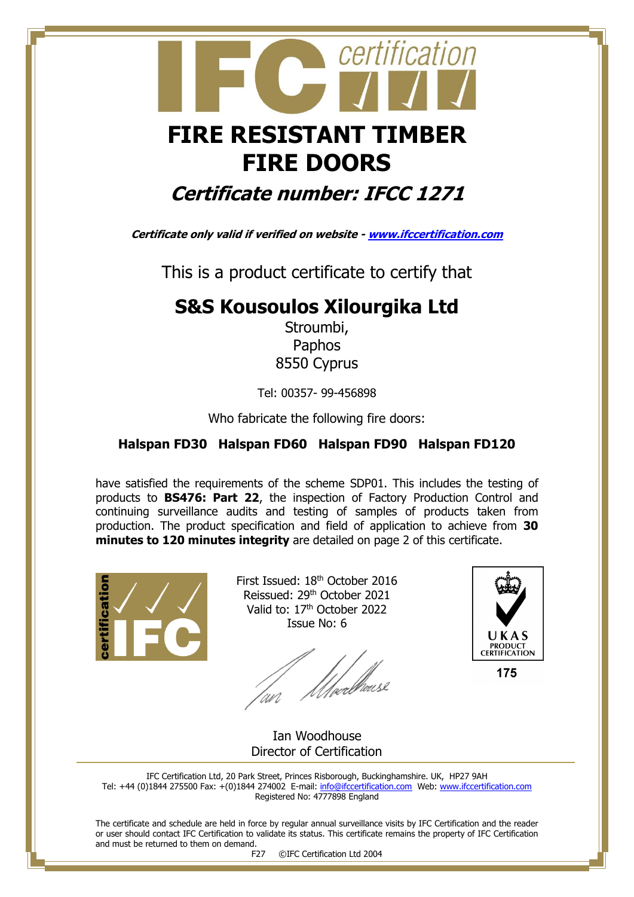

# **FIRE DOORS**

## **Certificate number: IFCC 1271**

**Certificate only valid if verified on website - [www.ifccertification.com](http://www.ifccertification.com/)**

This is a product certificate to certify that

### **S&S Kousoulos Xilourgika Ltd**

Stroumbi, Paphos 8550 Cyprus

Tel: 00357- 99-456898

Who fabricate the following fire doors:

#### **Halspan FD30 Halspan FD60 Halspan FD90 Halspan FD120**

have satisfied the requirements of the scheme SDP01. This includes the testing of products to **BS476: Part 22**, the inspection of Factory Production Control and continuing surveillance audits and testing of samples of products taken from production. The product specification and field of application to achieve from **30 minutes to 120 minutes integrity** are detailed on page 2 of this certificate.



First Issued: 18<sup>th</sup> October 2016 Reissued: 29<sup>th</sup> October 2021 Valid to: 17<sup>th</sup> October 2022 Issue No: 6

*Ulve*rbause



 Ian Woodhouse Director of Certification

IFC Certification Ltd, 20 Park Street, Princes Risborough, Buckinghamshire. UK, HP27 9AH Tel: +44 (0)1844 275500 Fax: +(0)1844 274002 E-mail[: info@ifccertification.com](mailto:info@ifccertification.com) Web: [www.ifccertification.com](http://www.ifccertification.com/) Registered No: 4777898 England

The certificate and schedule are held in force by regular annual surveillance visits by IFC Certification and the reader or user should contact IFC Certification to validate its status. This certificate remains the property of IFC Certification and must be returned to them on demand.

F27 ©IFC Certification Ltd 2004